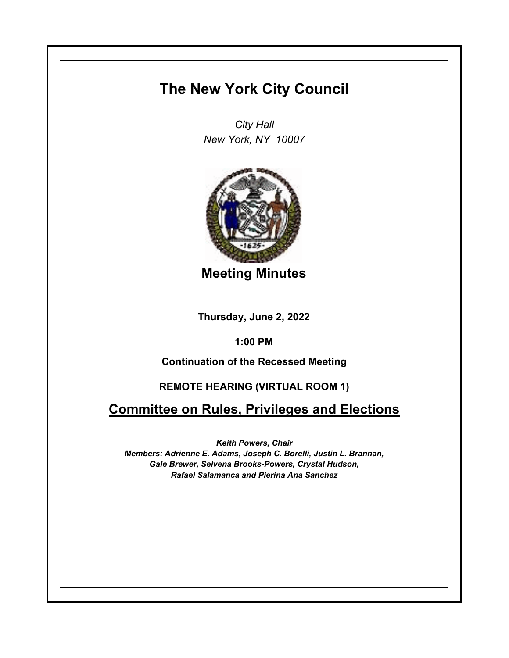## **The New York City Council**

*City Hall New York, NY 10007*



**Meeting Minutes**

**Thursday, June 2, 2022**

**1:00 PM**

**Continuation of the Recessed Meeting**

## **REMOTE HEARING (VIRTUAL ROOM 1)**

**Committee on Rules, Privileges and Elections**

*Keith Powers, Chair Members: Adrienne E. Adams, Joseph C. Borelli, Justin L. Brannan, Gale Brewer, Selvena Brooks-Powers, Crystal Hudson, Rafael Salamanca and Pierina Ana Sanchez*